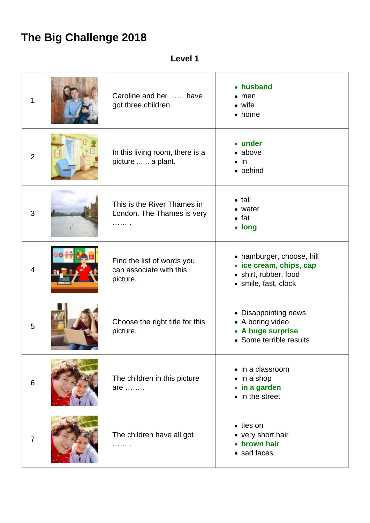## **The Big Challenge 2018**

**Level 1**

| $\mathbf 1$    | Caroline and her  have<br>got three children.                     | • husband<br>$\bullet$ men<br>$\bullet$ wife<br>• home                                                |
|----------------|-------------------------------------------------------------------|-------------------------------------------------------------------------------------------------------|
| $\overline{2}$ | In this living room, there is a<br>picture  a plant.              | • under<br>$\bullet$ above<br>$\bullet$ in<br>• behind                                                |
| 3              | This is the River Thames in<br>London. The Thames is very<br>.    | $\bullet$ tall<br>• water<br>$\bullet$ fat<br>• long                                                  |
| $\overline{4}$ | Find the list of words you<br>can associate with this<br>picture. | • hamburger, choose, hill<br>• ice cream, chips, cap<br>· shirt, rubber, food<br>· smile, fast, clock |
| 5              | Choose the right title for this<br>picture.                       | • Disappointing news<br>• A boring video<br>• A huge surprise<br>• Some terrible results              |
| 6              | The children in this picture<br>are  .                            | • in a classroom<br>$\bullet$ in a shop<br>• in a garden<br>• in the street                           |
| $\overline{7}$ | The children have all got<br>.                                    | • ties on<br>• very short hair<br>• brown hair<br>• sad faces                                         |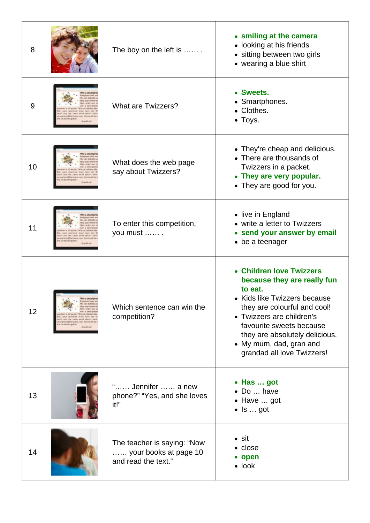| 8  |                                                       | The boy on the left is                                                      | • smiling at the camera<br>• looking at his friends<br>• sitting between two girls<br>• wearing a blue shirt                                                                                                                                                                           |
|----|-------------------------------------------------------|-----------------------------------------------------------------------------|----------------------------------------------------------------------------------------------------------------------------------------------------------------------------------------------------------------------------------------------------------------------------------------|
| 9  |                                                       | <b>What are Twizzers?</b>                                                   | • Sweets.<br>• Smartphones.<br>• Clothes.<br>• Toys.                                                                                                                                                                                                                                   |
| 10 | Miltred Kingdom                                       | What does the web page<br>say about Twizzers?                               | • They're cheap and delicious.<br>• There are thousands of<br>Twizzers in a packet.<br>• They are very popular.<br>• They are good for you.                                                                                                                                            |
| 11 | luce the tame week ads as<br>edling love to sum. Your | To enter this competition,<br>you must                                      | • live in England<br>• write a letter to Twizzers<br>• send your answer by email<br>• be a teenager                                                                                                                                                                                    |
| 12 | Win a smartpho                                        | Which sentence can win the<br>competition?                                  | • Children love Twizzers<br>because they are really fun<br>to eat.<br>• Kids like Twizzers because<br>they are colourful and cool!<br>• Twizzers are children's<br>favourite sweets because<br>they are absolutely delicious.<br>• My mum, dad, gran and<br>grandad all love Twizzers! |
| 13 |                                                       | Jennifer  a new<br>phone?" "Yes, and she loves<br>it!"                      | • Has  got<br>• Do  have<br>• Have  got<br>$\bullet$ Is  got                                                                                                                                                                                                                           |
| 14 |                                                       | The teacher is saying: "Now<br>your books at page 10<br>and read the text." | $\bullet$ sit<br>• close<br>• open<br>$\bullet$ look                                                                                                                                                                                                                                   |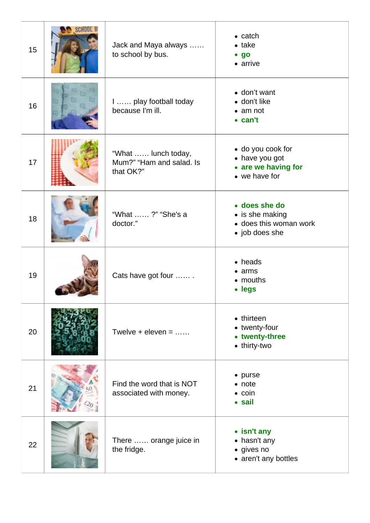| 15 | Jack and Maya always<br>to school by bus.                    | $\bullet$ catch<br>$\bullet$ take<br>$\bullet$ go<br>• arrive                |
|----|--------------------------------------------------------------|------------------------------------------------------------------------------|
| 16 | I  play football today<br>because I'm ill.                   | • don't want<br>· don't like<br>$\bullet$ am not<br>$\bullet$ can't          |
| 17 | "What  lunch today,<br>Mum?" "Ham and salad. Is<br>that OK?" | • do you cook for<br>• have you got<br>• are we having for<br>• we have for  |
| 18 | "What ?" "She's a<br>doctor."                                | • does she do<br>• is she making<br>• does this woman work<br>• job does she |
| 19 | Cats have got four                                           | • heads<br>$\bullet$ arms<br>• mouths<br>• legs                              |
| 20 | Twelve + eleven = $\dots$                                    | • thirteen<br>• twenty-four<br>• twenty-three<br>• thirty-two                |
| 21 | Find the word that is NOT<br>associated with money.          | $\bullet$ purse<br>$\bullet$ note<br>$\bullet$ coin<br>• sail                |
| 22 | There  orange juice in<br>the fridge.                        | • isn't any<br>• hasn't any<br>· gives no<br>• aren't any bottles            |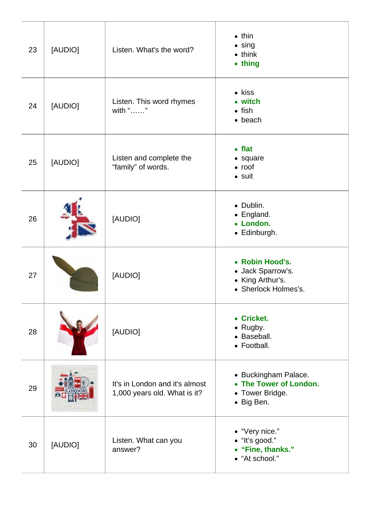| 23 | [AUDIO] | Listen. What's the word?                                       | $\bullet$ thin<br>$\bullet$ sing<br>$\bullet$ think<br>• thing                   |
|----|---------|----------------------------------------------------------------|----------------------------------------------------------------------------------|
| 24 | [AUDIO] | Listen. This word rhymes<br>with ""                            | • kiss<br>• witch<br>$\bullet$ fish<br>$\bullet$ beach                           |
| 25 | [AUDIO] | Listen and complete the<br>"family" of words.                  | $\bullet$ flat<br>• square<br>$\bullet$ roof<br>$\bullet$ suit                   |
| 26 |         | [AUDIO]                                                        | • Dublin.<br>• England.<br>• London.<br>• Edinburgh.                             |
| 27 |         | [AUDIO]                                                        | • Robin Hood's.<br>• Jack Sparrow's.<br>• King Arthur's.<br>• Sherlock Holmes's. |
| 28 |         | [AUDIO]                                                        | • Cricket.<br>$\bullet$ Rugby.<br>• Baseball.<br>• Football.                     |
| 29 |         | It's in London and it's almost<br>1,000 years old. What is it? | • Buckingham Palace.<br>• The Tower of London.<br>• Tower Bridge.<br>• Big Ben.  |
| 30 | [AUDIO] | Listen. What can you<br>answer?                                | • "Very nice."<br>• "It's good."<br>• "Fine, thanks."<br>• "At school."          |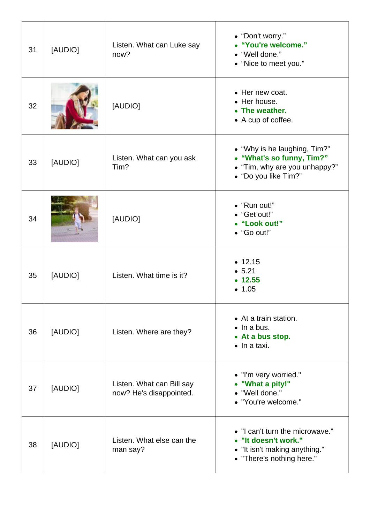| 31 | [AUDIO] | Listen. What can Luke say<br>now?                    | • "Don't worry."<br>• "You're welcome."<br>• "Well done."<br>• "Nice to meet you."                                    |
|----|---------|------------------------------------------------------|-----------------------------------------------------------------------------------------------------------------------|
| 32 |         | [AUDIO]                                              | • Her new coat.<br>• Her house.<br>• The weather.<br>• A cup of coffee.                                               |
| 33 | [AUDIO] | Listen. What can you ask<br>Tim?                     | • "Why is he laughing, Tim?"<br>• "What's so funny, Tim?"<br>• "Tim, why are you unhappy?"<br>• "Do you like Tim?"    |
| 34 |         | [AUDIO]                                              | • "Run out!"<br>• "Get out!"<br>• "Look out!"<br>• "Go out!"                                                          |
| 35 | [AUDIO] | Listen. What time is it?                             | • 12.15<br>• 5.21<br>• 12.55<br>• 1.05                                                                                |
| 36 | [AUDIO] | Listen. Where are they?                              | • At a train station.<br>$\bullet$ In a bus.<br>• At a bus stop.<br>$\bullet$ In a taxi.                              |
| 37 | [AUDIO] | Listen. What can Bill say<br>now? He's disappointed. | • "I'm very worried."<br>• "What a pity!"<br>• "Well done."<br>• "You're welcome."                                    |
| 38 | [AUDIO] | Listen. What else can the<br>man say?                | • "I can't turn the microwave."<br>• "It doesn't work."<br>• "It isn't making anything."<br>• "There's nothing here." |